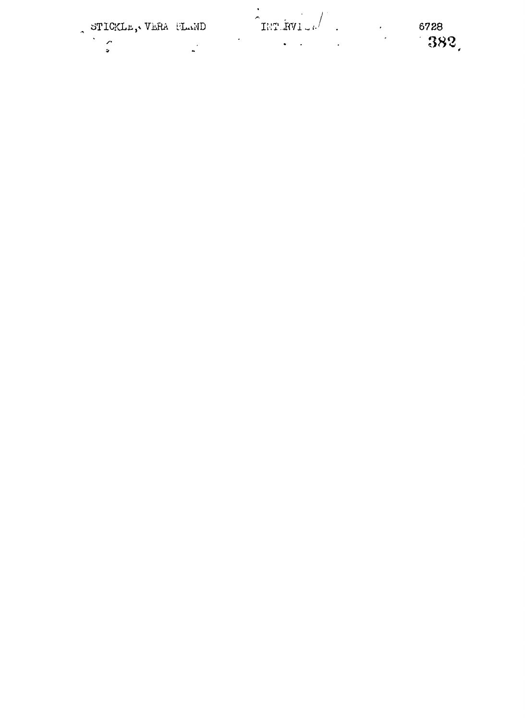| STICKLE, VERA FLAND |  |
|---------------------|--|
|                     |  |
|                     |  |
|                     |  |

 $D$  **IHT. RVI**  $\mu$ <sup>1</sup> **.** (8728)

38 2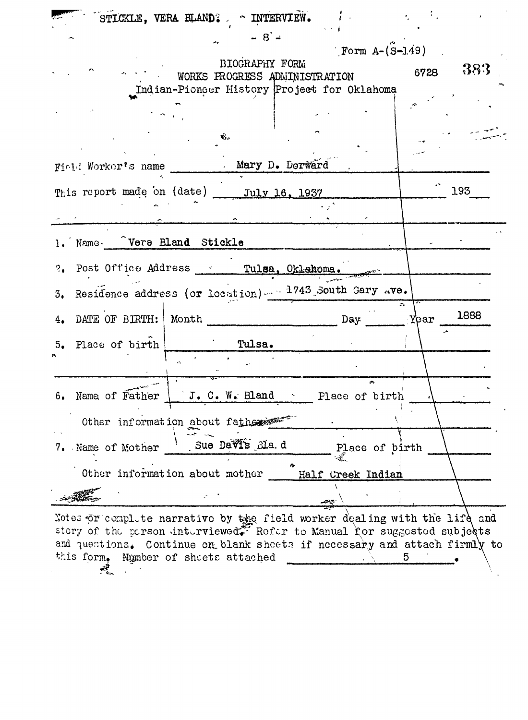|                                                | STICKLE, VERA BLAND? ~ INTERVIEW. |                                                                                                                                                                                                         |              |
|------------------------------------------------|-----------------------------------|---------------------------------------------------------------------------------------------------------------------------------------------------------------------------------------------------------|--------------|
|                                                | $-8 -$                            |                                                                                                                                                                                                         |              |
|                                                |                                   | Form $A - (S - 149)$                                                                                                                                                                                    |              |
|                                                | BIOGRAPHY FORM                    |                                                                                                                                                                                                         | 383<br>6728  |
|                                                | WORKS PROGRESS ADMINISTRATION     |                                                                                                                                                                                                         |              |
|                                                |                                   | Indian-Pioneer History Project for Oklahoma                                                                                                                                                             |              |
|                                                |                                   |                                                                                                                                                                                                         |              |
|                                                |                                   |                                                                                                                                                                                                         |              |
|                                                | d.                                |                                                                                                                                                                                                         |              |
|                                                |                                   |                                                                                                                                                                                                         |              |
| Field Worker's name Mary D. Derward            |                                   |                                                                                                                                                                                                         |              |
| This report made on (date) _____ July 16, 1937 |                                   |                                                                                                                                                                                                         | 193          |
|                                                |                                   |                                                                                                                                                                                                         |              |
|                                                |                                   |                                                                                                                                                                                                         |              |
| 1. Name. Vera Bland Stickle                    |                                   |                                                                                                                                                                                                         |              |
|                                                |                                   |                                                                                                                                                                                                         |              |
|                                                |                                   | ?. Post Office Address  Tulsa, Oklahoma.                                                                                                                                                                |              |
|                                                |                                   | 3. Residence address (or location) - 1743 South Gary Ave.                                                                                                                                               |              |
|                                                |                                   |                                                                                                                                                                                                         |              |
| 4. DATE OF BIRTH:   Month                      |                                   | Day                                                                                                                                                                                                     | 1888<br>Year |
|                                                |                                   |                                                                                                                                                                                                         |              |
| 5. Place of birth                              | Tulsa.                            |                                                                                                                                                                                                         |              |
|                                                |                                   |                                                                                                                                                                                                         |              |
|                                                |                                   |                                                                                                                                                                                                         |              |
| Name of Father<br>6.                           |                                   | $J. C. W.$ Bland $\sim$ Place of birth                                                                                                                                                                  |              |
|                                                |                                   |                                                                                                                                                                                                         |              |
|                                                | Other information about fathers   |                                                                                                                                                                                                         |              |
| 7. Name of Mother                              | Sue Davis Ma.d                    | Place of birth                                                                                                                                                                                          |              |
|                                                |                                   |                                                                                                                                                                                                         |              |
|                                                | Other information about mother    | Half Creek Indian                                                                                                                                                                                       |              |
|                                                |                                   |                                                                                                                                                                                                         |              |
|                                                |                                   | $\mathcal{L}^{\text{max}}$                                                                                                                                                                              |              |
|                                                |                                   | Notes or complete narrative by the field worker dealing with the life and                                                                                                                               |              |
|                                                |                                   | $^{5}$ the representation of the representation of the representation of the representation of the representation of the representation of the representation of the representation of $\mathbb{R}^n$ . |              |

story of the person  $int$ -distributed $\tilde{\mathcal{C}}$  Refer to Manual for suggested subje $\delta$ and questions. Continue on blank sheets if necessary and attach firmly to this form. Number of sheets attached this form. Mamber of sheets attached .  $\frac{1}{\sqrt{2}}$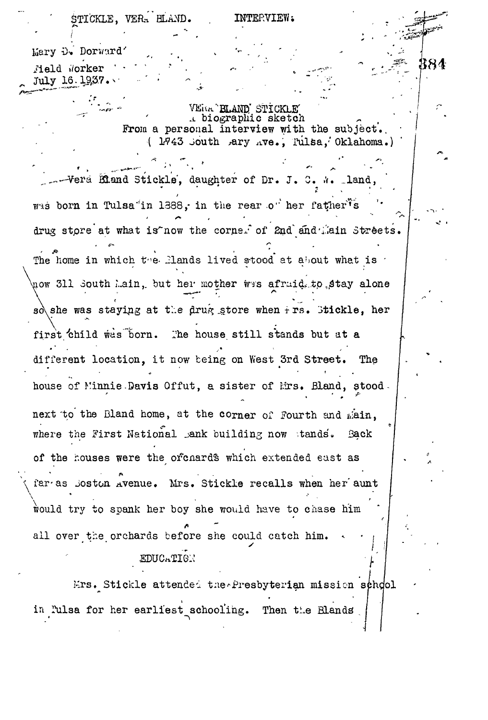STICKLE, VERA BLAND. INTERVIEW:

384

Mary D. Dorward'

*Held Worker* July 16.1937.

> VERA'ELAND' STICKLE A biographic sketch From a personal interview with the subject. ( 1943 Jouth ^ary ^ve., Tiilsa,''Oklahoma.)

Vera Bland Stickle, daughter of Dr. J. C.  $\lambda$ .  $2 \times 2 \times 2 \times 2$ was born in Tulsa'in 1388, in the rear of her father's drug streets that is a what is defined on  $\alpha$ The home in which the Elands lived stood at about what is  $\cdot$ now 311 South Lain, but her mother wes afraid, to stay alone so\she was staying at the drug store when  $f$ rs. Stickle, her first child was born. The house still stands but at a different location, it now being on West 3rd Street. The house of Minnie.Davis Offut, a sister of Mrs. Bland, stood. next to the Bland home, at the corner of Fourth and main, where the First National jank building now stands. Back of the houses were the orchards which extended east as far-as Joston Avenue. Mrs. Stickle recalls when her aunt  $\overline{\phantom{a}^{\prime}}$ would try to spank her boy she would have to chase him all over the orchards before she could catch him. EDUCATION

Mrs. Stickle attended the Presbyterian mission school in lulsa for her earliest schooling. Then the Blands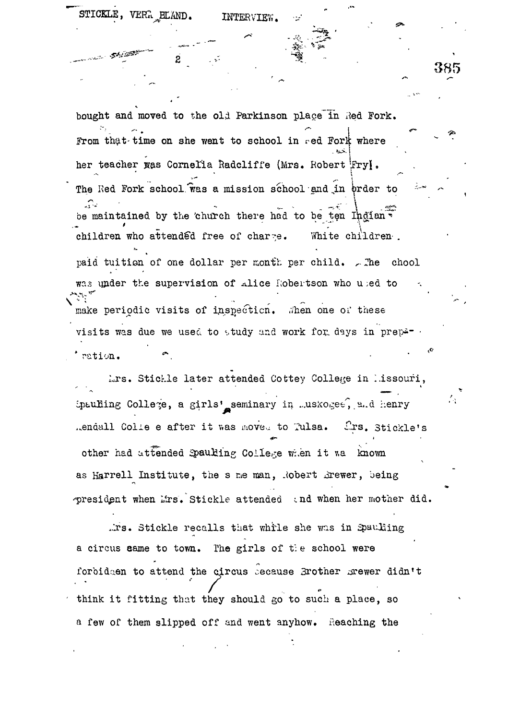$\texttt{STICKLE}$ ,  $\texttt{VERR}$ <sub>p</sub>HLAND. INTERVIEW.

bought and moved to the old Parkinson place in Red Fork.  $\mathcal{P}=\{\mathcal{P}^{\mathcal{P}}\}$  . In the set of the set of the set of the set of the set of the set of the set of the set of the set of the set of the set of the set of the set of the set of the set of the set of the set of the From the time on she went to school in red Fork where her teacher was Cornelia Radcliffe (Mrs. Robert Fry). The Red Fork school was a mission school and in order to المناجير be maintained by the church there had to be ten Indian \*\* children who attended free of charge. White children. paid tuition of one dollar per month per child.  $\sim$  The chool was under the supervision of alice Robertson who used to make periodic visits of inspection. When one of these visits was due we used to study and work for days in preper  $\cdot$ ration.

385

Lrs. Stickle later attended Cottey College in Missouri, ipauling College, a girls' seminary in ..uskoge $\epsilon$ , a.d henry ..endall Colie e after it was moved to Tulsa. Crs. Stickle's other had attended Spaulling College when it was known as Harrell Institute, the s me man, Robert Brewer, being president when Lirs. Stickle attended and when her mother did.

.irs. Stickle recalls that while she was in Spauling a circus came to town. The girls of the school were forbidaen to attend the circus secause Brother mewer didn't think it fitting that they should go to such a place, so a few of them slipped off and went anyhow. Reaching the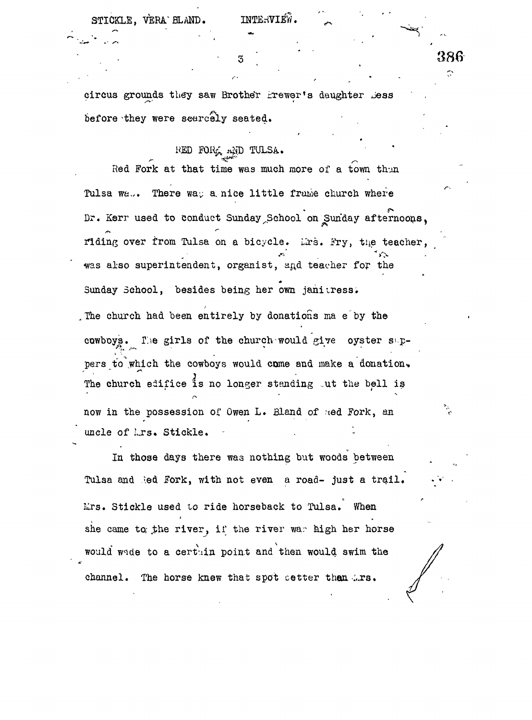$\texttt{STICKLE.}$   $\texttt{VERA}$   $\texttt{ELAND.}$  INTERVIEW.

\*

386  $\tilde{\mathbb{C}}$ 

circus grounds they saw Brother frewer's daughter Dess before they were scarcely seated.

## RED FORG AND TULSA.

Red Fork at that time was much more of a town thun Tulsa wa.. There was a nice little frame church where Dr. Kerr used to conduct Sunday School on Sunday afternoons, riding over from Tulsa on a bicycle. Lrs. Fry, the teacher, was also superintendent, organist, and teacher for the Sunday School, besides being her own janitress. , The church had been entirely by donations ma e by the cowboys. The girls of the church would give oyster suppers to which the cowboys would come and make a donation. The church edifice is no longer standing out the bell is now in the possession of Owen L. Bland of ted Fork, an uncle of Lrs. Stickle.

In those days there was nothing but woods between Tulsa and led fork, with not even a road- just a trail. Lirs. Stickle used to ride horseback to Tulsa. When she came to; the river, if the river war high her horse would wade to a certain point and then would swim the channel. The horse knew that spot cetter than ... rs.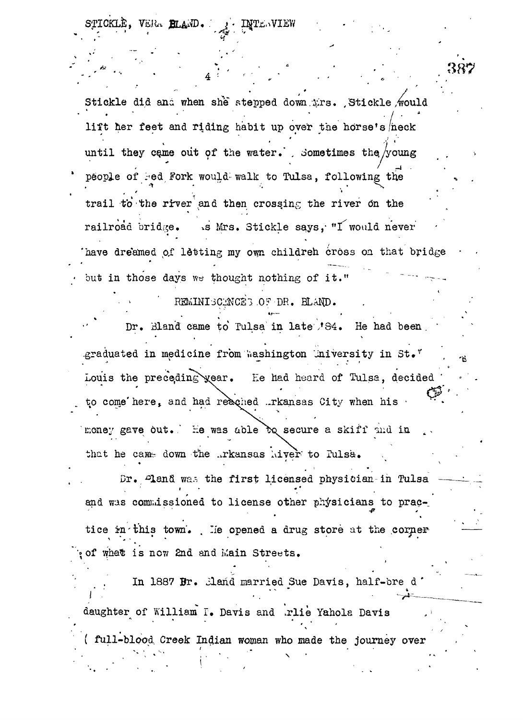KLE. VERA BILAND. **INTENVIEW** 

Stickle did ana when she stepped down.*irs.* Stickle would butckle did and when she stepped down firs. Sulckle would<br>
I fet her feet and riding habit up over the horse's neak until they came out of the water. , Sometimes the  $/$ young  $\frac{1}{2}$  -in . The set of  $\frac{1}{2}$ people of led Fork would walk to Tulsa, following the **•-»'• " •-. , • X** ...<br>in the river and then crossing the river on the railroad bridge. Is Mrs. Stickle says, "I would never have dreamed of letting my own childreh cross on that bridge. but in those days we thought nothing of it."

 $\texttt{REMINISCMCE}$  of  $\texttt{DR}$ .  $\texttt{BLAND}$ .

Dr. Bland came to Tulsa in late 184. He had been Dr. Bland came to Tulsa in late<sup>1</sup>/84. He had been. " Louis the preceding year. He had heard of Tulsa, decided  $\mathcal{L} = \{ \mathcal{L} \mid \mathcal{L} \in \mathcal{L} \}$  . Expression the precedent of  $\mathcal{L}$ to conie'here» and had reached ..rkansas City T/hen his • money gave but. He was able bo secure a skiff and in that he came down the ..rkansas hiver to Pulsa.

Dr. Pland was the first licensed physician in Tulsa and was commissioned to license other physicians to prac-

tice in this town. . He opened a drug store at the cornerof what is now 2nd and Main Streets.

In 1887 Br. Mand married Sue Davis, half-bre d' **I •' • . \* \* \* • -£=•** daughter of William T. Davis and .rlie Yahols Davis (  $full-blood$   $Creek$  Indian woman who made the journey over